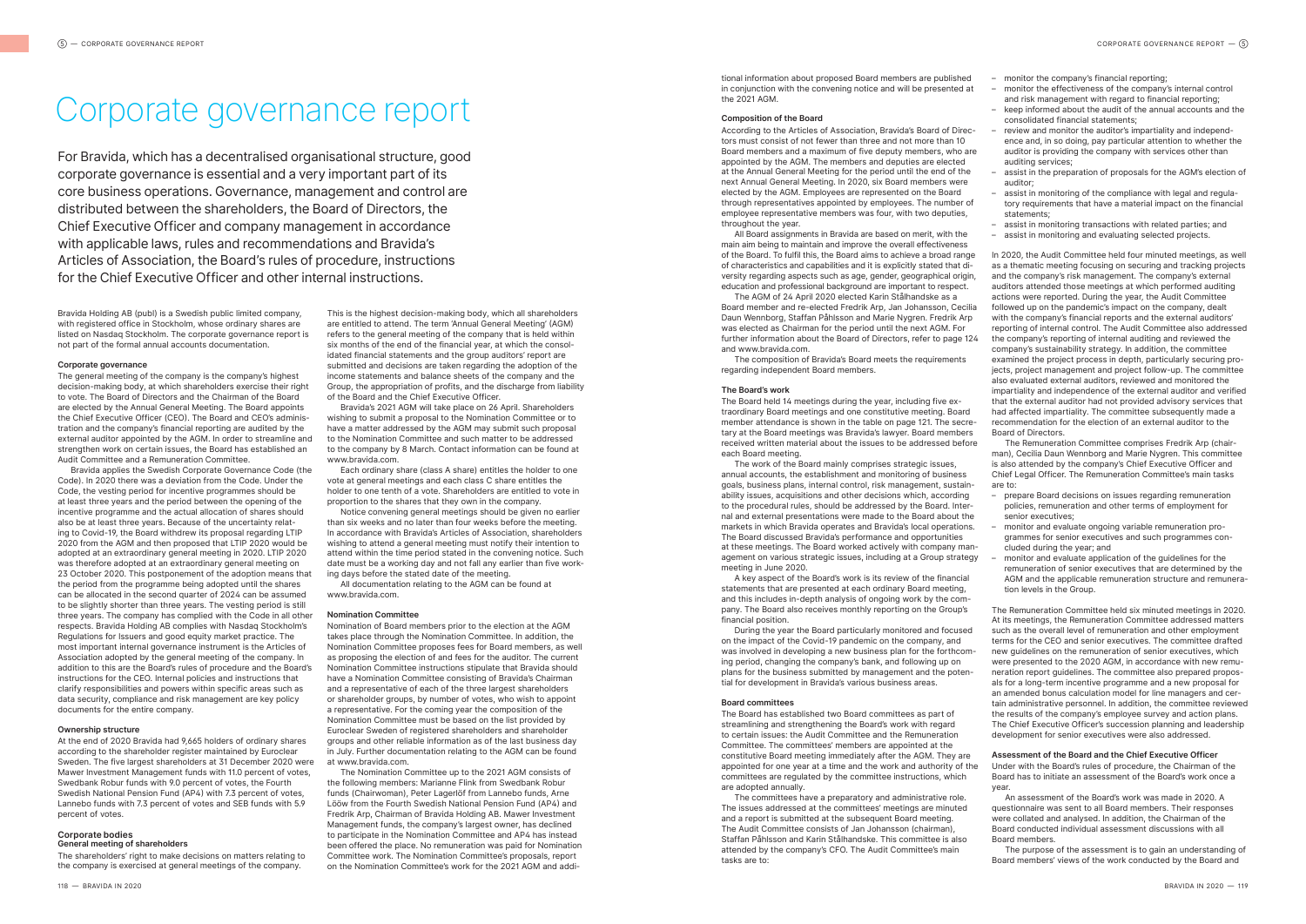Bravida Holding AB (publ) is a Swedish public limited company, with registered office in Stockholm, whose ordinary shares are listed on Nasdaq Stockholm. The corporate governance report is not part of the formal annual accounts documentation.

#### **Corporate governance**

The general meeting of the company is the company's highest decision-making body, at which shareholders exercise their right to vote. The Board of Directors and the Chairman of the Board are elected by the Annual General Meeting. The Board appoints the Chief Executive Officer (CEO). The Board and CEO's administration and the company's financial reporting are audited by the external auditor appointed by the AGM. In order to streamline and strengthen work on certain issues, the Board has established an Audit Committee and a Remuneration Committee.

Bravida applies the Swedish Corporate Governance Code (the Code). In 2020 there was a deviation from the Code. Under the Code, the vesting period for incentive programmes should be at least three years and the period between the opening of the incentive programme and the actual allocation of shares should also be at least three years. Because of the uncertainty relating to Covid-19, the Board withdrew its proposal regarding LTIP 2020 from the AGM and then proposed that LTIP 2020 would be adopted at an extraordinary general meeting in 2020. LTIP 2020 was therefore adopted at an extraordinary general meeting on 23 October 2020. This postponement of the adoption means that the period from the programme being adopted until the shares can be allocated in the second quarter of 2024 can be assumed to be slightly shorter than three years. The vesting period is still three years. The company has complied with the Code in all other respects. Bravida Holding AB complies with Nasdaq Stockholm's Regulations for Issuers and good equity market practice. The most important internal governance instrument is the Articles of Association adopted by the general meeting of the company. In addition to this are the Board's rules of procedure and the Board's instructions for the CEO. Internal policies and instructions that clarify responsibilities and powers within specific areas such as data security, compliance and risk management are key policy documents for the entire company.

#### **Ownership structure**

At the end of 2020 Bravida had 9,665 holders of ordinary shares according to the shareholder register maintained by Euroclear Sweden. The five largest shareholders at 31 December 2020 were Mawer Investment Management funds with 11.0 percent of votes, Swedbank Robur funds with 9.0 percent of votes, the Fourth Swedish National Pension Fund (AP4) with 7.3 percent of votes, Lannebo funds with 7.3 percent of votes and SEB funds with 5.9 percent of votes.

#### **Corporate bodies**

**General meeting of shareholders**

The shareholders' right to make decisions on matters relating to the company is exercised at general meetings of the company.

# Corporate governance report

This is the highest decision-making body, which all shareholders are entitled to attend. The term 'Annual General Meeting' (AGM) refers to the general meeting of the company that is held within six months of the end of the financial year, at which the consolidated financial statements and the group auditors' report are submitted and decisions are taken regarding the adoption of the income statements and balance sheets of the company and the Group, the appropriation of profits, and the discharge from liability of the Board and the Chief Executive Officer.

Bravida's 2021 AGM will take place on 26 April. Shareholders wishing to submit a proposal to the Nomination Committee or to have a matter addressed by the AGM may submit such proposal to the Nomination Committee and such matter to be addressed to the company by 8 March. Contact information can be found at www.bravida.com.

Each ordinary share (class A share) entitles the holder to one vote at general meetings and each class C share entitles the holder to one tenth of a vote. Shareholders are entitled to vote in proportion to the shares that they own in the company.

Notice convening general meetings should be given no earlier than six weeks and no later than four weeks before the meeting. In accordance with Bravida's Articles of Association, shareholders wishing to attend a general meeting must notify their intention to attend within the time period stated in the convening notice. Such date must be a working day and not fall any earlier than five working days before the stated date of the meeting.

All documentation relating to the AGM can be found at www.bravida.com.

#### **Nomination Committee**

Nomination of Board members prior to the election at the AGM takes place through the Nomination Committee. In addition, the Nomination Committee proposes fees for Board members, as well as proposing the election of and fees for the auditor. The current Nomination Committee instructions stipulate that Bravida should have a Nomination Committee consisting of Bravida's Chairman and a representative of each of the three largest shareholders or shareholder groups, by number of votes, who wish to appoint a representative. For the coming year the composition of the Nomination Committee must be based on the list provided by Euroclear Sweden of registered shareholders and shareholder groups and other reliable information as of the last business day in July. Further documentation relating to the AGM can be found at www.bravida.com.

The Nomination Committee up to the 2021 AGM consists of the following members: Marianne Flink from Swedbank Robur funds (Chairwoman), Peter Lagerlöf from Lannebo funds, Arne Lööw from the Fourth Swedish National Pension Fund (AP4) and Fredrik Arp, Chairman of Bravida Holding AB. Mawer Investment Management funds, the company's largest owner, has declined to participate in the Nomination Committee and AP4 has instead been offered the place. No remuneration was paid for Nomination Committee work. The Nomination Committee's proposals, report on the Nomination Committee's work for the 2021 AGM and additional information about proposed Board members are published in conjunction with the convening notice and will be presented at the 2021 AGM.

#### **Composition of the Board**

According to the Articles of Association, Bravida's Board of Directors must consist of not fewer than three and not more than 10 Board members and a maximum of five deputy members, who are appointed by the AGM. The members and deputies are elected at the Annual General Meeting for the period until the end of the next Annual General Meeting. In 2020, six Board members were elected by the AGM. Employees are represented on the Board through representatives appointed by employees. The number of employee representative members was four, with two deputies throughout the year.

All Board assignments in Bravida are based on merit, with the main aim being to maintain and improve the overall effectiveness of the Board. To fulfil this, the Board aims to achieve a broad range of characteristics and capabilities and it is explicitly stated that diversity regarding aspects such as age, gender, geographical origin, education and professional background are important to respect.

The AGM of 24 April 2020 elected Karin Stålhandske as a Board member and re-elected Fredrik Arp, Jan Johansson, Cecilia Daun Wennborg, Staffan Påhlsson and Marie Nygren. Fredrik Arp was elected as Chairman for the period until the next AGM. For further information about the Board of Directors, refer to page 124 and www.bravida.com.

The composition of Bravida's Board meets the requirements regarding independent Board members.

#### **The Board's work**

The Board held 14 meetings during the year, including five extraordinary Board meetings and one constitutive meeting. Board member attendance is shown in the table on page 121. The secretary at the Board meetings was Bravida's lawyer. Board members received written material about the issues to be addressed before each Board meeting.

The work of the Board mainly comprises strategic issues, annual accounts, the establishment and monitoring of business goals, business plans, internal control, risk management, sustainability issues, acquisitions and other decisions which, according to the procedural rules, should be addressed by the Board. Internal and external presentations were made to the Board about the markets in which Bravida operates and Bravida's local operations. The Board discussed Bravida's performance and opportunities at these meetings. The Board worked actively with company management on various strategic issues, including at a Group strategy meeting in June 2020.

A key aspect of the Board's work is its review of the financial statements that are presented at each ordinary Board meeting, and this includes in-depth analysis of ongoing work by the company. The Board also receives monthly reporting on the Group's financial position.

During the year the Board particularly monitored and focused on the impact of the Covid-19 pandemic on the company, and was involved in developing a new business plan for the forthcoming period, changing the company's bank, and following up on plans for the business submitted by management and the potential for development in Bravida's various business areas.

#### **Board committees**

The committees have a preparatory and administrative role. The issues addressed at the committees' meetings are minuted and a report is submitted at the subsequent Board meeting. The Audit Committee consists of Jan Johansson (chairman), Staffan Påhlsson and Karin Stålhandske. This committee is also attended by the company's CFO. The Audit Committee's main tasks are to:

- monitor the company's financial reporting;
- monitor the effectiveness of the company's internal control and risk management with regard to financial reporting:
- keep informed about the audit of the annual accounts and the consolidated financial statements; – review and monitor the auditor's impartiality and independ-
- ence and, in so doing, pay particular attention to whether the auditor is providing the company with services other than auditing services;
- assist in the preparation of proposals for the AGM's election of auditor;
- assist in monitoring of the compliance with legal and regulatory requirements that have a material impact on the financial statements;
- assist in monitoring transactions with related parties; and
- assist in monitoring and evaluating selected projects.

In 2020, the Audit Committee held four minuted meetings, as well as a thematic meeting focusing on securing and tracking projects and the company's risk management. The company's external auditors attended those meetings at which performed auditing actions were reported. During the year, the Audit Committee followed up on the pandemic's impact on the company, dealt with the company's financial reports and the external auditors' reporting of internal control. The Audit Committee also addressed the company's reporting of internal auditing and reviewed the company's sustainability strategy. In addition, the committee examined the project process in depth, particularly securing projects, project management and project follow-up. The committee also evaluated external auditors, reviewed and monitored the impartiality and independence of the external auditor and verified that the external auditor had not provided advisory services that had affected impartiality. The committee subsequently made a recommendation for the election of an external auditor to the Board of Directors.

The Board has established two Board committees as part of streamlining and strengthening the Board's work with regard to certain issues: the Audit Committee and the Remuneration Committee. The committees' members are appointed at the constitutive Board meeting immediately after the AGM. They are appointed for one year at a time and the work and authority of the committees are regulated by the committee instructions, which are adopted annually. development for senior executives were also addressed. **Assessment of the Board and the Chief Executive Officer** Under with the Board's rules of procedure, the Chairman of the Board has to initiate an assessment of the Board's work once a year.

The Remuneration Committee comprises Fredrik Arp (chairman), Cecilia Daun Wennborg and Marie Nygren. This committee is also attended by the company's Chief Executive Officer and Chief Legal Officer. The Remuneration Committee's main tasks are to:

- prepare Board decisions on issues regarding remuneration policies, remuneration and other terms of employment for senior executives;
- monitor and evaluate ongoing variable remuneration programmes for senior executives and such programmes concluded during the year; and
- monitor and evaluate application of the guidelines for the remuneration of senior executives that are determined by the AGM and the applicable remuneration structure and remuneration levels in the Group.

The Remuneration Committee held six minuted meetings in 2020. At its meetings, the Remuneration Committee addressed matters such as the overall level of remuneration and other employment terms for the CEO and senior executives. The committee drafted new guidelines on the remuneration of senior executives, which were presented to the 2020 AGM, in accordance with new remuneration report guidelines. The committee also prepared proposals for a long-term incentive programme and a new proposal for an amended bonus calculation model for line managers and certain administrative personnel. In addition, the committee reviewed the results of the company's employee survey and action plans. The Chief Executive Officer's succession planning and leadership

An assessment of the Board's work was made in 2020. A questionnaire was sent to all Board members. Their responses were collated and analysed. In addition, the Chairman of the Board conducted individual assessment discussions with all Board members.

The purpose of the assessment is to gain an understanding of Board members' views of the work conducted by the Board and

For Bravida, which has a decentralised organisational structure, good corporate governance is essential and a very important part of its core business operations. Governance, management and control are distributed between the shareholders, the Board of Directors, the Chief Executive Officer and company management in accordance with applicable laws, rules and recommendations and Bravida's Articles of Association, the Board's rules of procedure, instructions for the Chief Executive Officer and other internal instructions.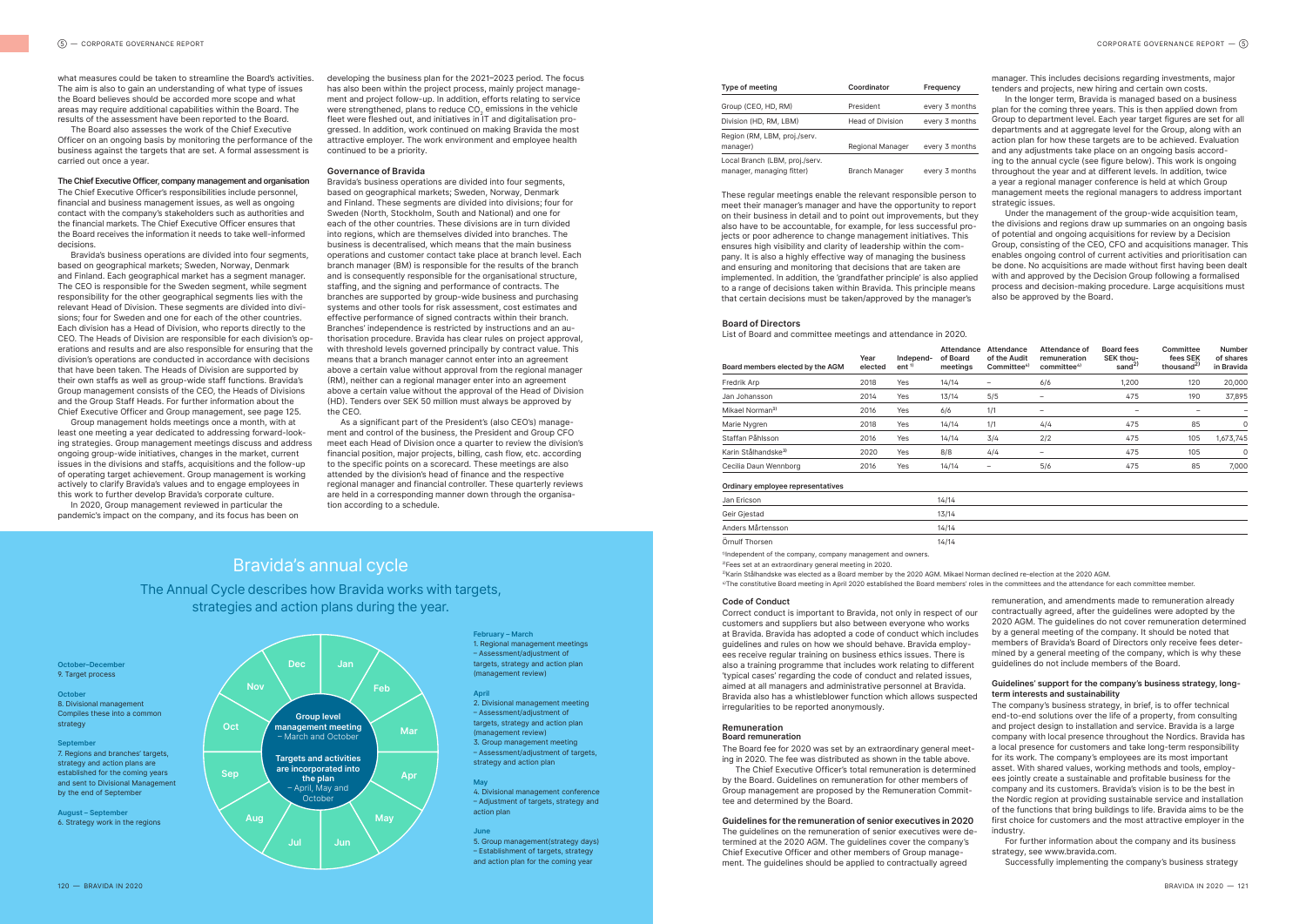what measures could be taken to streamline the Board's activities. The aim is also to gain an understanding of what type of issues the Board believes should be accorded more scope and what areas may require additional capabilities within the Board. The results of the assessment have been reported to the Board.

The Board also assesses the work of the Chief Executive Officer on an ongoing basis by monitoring the performance of the business against the targets that are set. A formal assessment is carried out once a year.

#### **The Chief Executive Officer,company management and organisation**

The Chief Executive Officer's responsibilities include personnel, financial and business management issues, as well as ongoing contact with the company's stakeholders such as authorities and the financial markets. The Chief Executive Officer ensures that the Board receives the information it needs to take well-informed decisions.

Bravida's business operations are divided into four segments, based on geographical markets; Sweden, Norway, Denmark and Finland. Each geographical market has a segment manager. The CEO is responsible for the Sweden segment, while segment responsibility for the other geographical segments lies with the relevant Head of Division. These segments are divided into divisions; four for Sweden and one for each of the other countries. Each division has a Head of Division, who reports directly to the CEO. The Heads of Division are responsible for each division's operations and results and are also responsible for ensuring that the division's operations are conducted in accordance with decisions that have been taken. The Heads of Division are supported by their own staffs as well as group-wide staff functions. Bravida's Group management consists of the CEO, the Heads of Divisions and the Group Staff Heads. For further information about the Chief Executive Officer and Group management, see page 125.

Group management holds meetings once a month, with at least one meeting a year dedicated to addressing forward-looking strategies. Group management meetings discuss and address ongoing group-wide initiatives, changes in the market, current issues in the divisions and staffs, acquisitions and the follow-up of operating target achievement. Group management is working actively to clarify Bravida's values and to engage employees in this work to further develop Bravida's corporate culture.

In 2020, Group management reviewed in particular the pandemic's impact on the company, and its focus has been on

**February – March**

1. Regional management meetings – Assessment/adjustment of targets, strategy and action plan (management review)

**April**

2. Divisional management meeting – Assessment/adjustment of targets, strategy and action plan (management review) 3. Group management meeting – Assessment/adjustment of targets,

strategy and action plan

**May**

4. Divisional management conference – Adjustment of targets, strategy and

action plan

**June**

5. Group management(strategy days) – Establishment of targets, strategy and action plan for the coming year

#### **October–December** 9. Target process

**October** 8. Divisional management Compiles these into a common strategy

**September** 7. Regions and branches' targets, strategy and action plans are established for the coming years and sent to Divisional Management by the end of September

**August – September** 6. Strategy work in the regions

| <b>Type of meeting</b>                                      | Coordinator             | Frequency      |
|-------------------------------------------------------------|-------------------------|----------------|
| Group (CEO, HD, RM)                                         | President               | every 3 months |
| Division (HD, RM, LBM)                                      | <b>Head of Division</b> | every 3 months |
| Region (RM, LBM, proj./serv.<br>manager)                    | <b>Regional Manager</b> | every 3 months |
| Local Branch (LBM, proj./serv.<br>manager, managing fitter) | <b>Branch Manager</b>   | every 3 months |

3)Karin Stålhandske was elected as a Board member by the 2020 AGM. Mikael Norman declined re-election at the 2020 AGM. <sup>4)</sup>The constitutive Board meeting in April 2020 established the Board members' roles in the committees and the attendance for each committee member

developing the business plan for the 2021–2023 period. The focus has also been within the project process, mainly project management and project follow-up. In addition, efforts relating to service were strengthened, plans to reduce CO<sub>2</sub> emissions in the vehicle fleet were fleshed out, and initiatives in IT and digitalisation progressed. In addition, work continued on making Bravida the most attractive employer. The work environment and employee health continued to be a priority.

#### **Governance of Bravida**

Bravida's business operations are divided into four segments, based on geographical markets; Sweden, Norway, Denmark and Finland. These segments are divided into divisions; four for Sweden (North, Stockholm, South and National) and one for each of the other countries. These divisions are in turn divided into regions, which are themselves divided into branches. The business is decentralised, which means that the main business operations and customer contact take place at branch level. Each branch manager (BM) is responsible for the results of the branch and is consequently responsible for the organisational structure staffing, and the signing and performance of contracts. The branches are supported by group-wide business and purchasing systems and other tools for risk assessment, cost estimates and effective performance of signed contracts within their branch. Branches' independence is restricted by instructions and an authorisation procedure. Bravida has clear rules on project approval, with threshold levels governed principally by contract value. This means that a branch manager cannot enter into an agreement above a certain value without approval from the regional manager (RM), neither can a regional manager enter into an agreement above a certain value without the approval of the Head of Division (HD). Tenders over SEK 50 million must always be approved by the CEO.

These regular meetings enable the relevant responsible person to meet their manager's manager and have the opportunity to report on their business in detail and to point out improvements, but they also have to be accountable, for example, for less successful projects or poor adherence to change management initiatives. This ensures high visibility and clarity of leadership within the company. It is also a highly effective way of managing the business and ensuring and monitoring that decisions that are taken are implemented. In addition, the 'grandfather principle' is also applied to a range of decisions taken within Bravida. This principle means that certain decisions must be taken/approved by the manager's strategic issues. Under the management of the group-wide acquisition team, the divisions and regions draw up summaries on an ongoing basis of potential and ongoing acquisitions for review by a Decision Group, consisting of the CEO, CFO and acquisitions manager. This enables ongoing control of current activities and prioritisation can be done. No acquisitions are made without first having been dealt with and approved by the Decision Group following a formalised process and decision-making procedure. Large acquisitions must also be approved by the Board.

As a significant part of the President's (also CEO's) management and control of the business, the President and Group CFO meet each Head of Division once a quarter to review the division's financial position, major projects, billing, cash flow, etc. according to the specific points on a scorecard. These meetings are also attended by the division's head of finance and the respective regional manager and financial controller. These quarterly reviews are held in a corresponding manner down through the organisation according to a schedule.



manager. This includes decisions regarding investments, major tenders and projects, new hiring and certain own costs.

In the longer term, Bravida is managed based on a business plan for the coming three years. This is then applied down from Group to department level. Each year target figures are set for all departments and at aggregate level for the Group, along with an action plan for how these targets are to be achieved. Evaluation and any adjustments take place on an ongoing basis according to the annual cycle (see figure below). This work is ongoing throughout the year and at different levels. In addition, twice a year a regional manager conference is held at which Group management meets the regional managers to address important

#### **Board of Directors**

List of Board and committee meetings and attendance in 2020.

| Board members elected by the AGM  | Year<br>elected | Independ-<br>ent <sup>1</sup> | Attendance<br>of Board<br>meetings | Attendance<br>of the Audit<br>Committee <sup>4)</sup> | Attendance of<br>remuneration<br>committee <sup>4)</sup> | <b>Board fees</b><br>SEK thou-<br>sand <sup>2)</sup> | Committee<br>fees SEK<br>thousand <sup>2)</sup> | <b>Number</b><br>of shares<br>in Bravida |
|-----------------------------------|-----------------|-------------------------------|------------------------------------|-------------------------------------------------------|----------------------------------------------------------|------------------------------------------------------|-------------------------------------------------|------------------------------------------|
| Fredrik Arp                       | 2018            | Yes                           | 14/14                              |                                                       | 6/6                                                      | 1,200                                                | 120                                             | 20,000                                   |
| Jan Johansson                     | 2014            | Yes                           | 13/14                              | 5/5                                                   | $\qquad \qquad -$                                        | 475                                                  | 190                                             | 37,895                                   |
| Mikael Norman <sup>3)</sup>       | 2016            | Yes                           | 6/6                                | 1/1                                                   | $\qquad \qquad -$                                        | $\qquad \qquad \blacksquare$                         | -                                               |                                          |
| Marie Nygren                      | 2018            | Yes                           | 14/14                              | 1/1                                                   | 4/4                                                      | 475                                                  | 85                                              | 0                                        |
| Staffan Påhlsson                  | 2016            | Yes                           | 14/14                              | 3/4                                                   | 2/2                                                      | 475                                                  | 105                                             | 1,673,745                                |
| Karin Stålhandske <sup>3)</sup>   | 2020            | Yes                           | 8/8                                | 4/4                                                   | $\overline{\phantom{0}}$                                 | 475                                                  | 105                                             | $\mathbf 0$                              |
| Cecilia Daun Wennborg             | 2016            | Yes                           | 14/14                              | -                                                     | 5/6                                                      | 475                                                  | 85                                              | 7,000                                    |
| Ordinary employee representatives |                 |                               |                                    |                                                       |                                                          |                                                      |                                                 |                                          |
| Jan Ericson                       |                 |                               | 14/14                              |                                                       |                                                          |                                                      |                                                 |                                          |
| Geir Gjestad                      |                 |                               | 13/14                              |                                                       |                                                          |                                                      |                                                 |                                          |
| Anders Mårtensson                 |                 |                               | 14/14                              |                                                       |                                                          |                                                      |                                                 |                                          |

| Board members elected by the AGM  | Year<br>elected | Independ-<br>ent <sup>1</sup> | <b>Attendance</b><br>of Board<br>meetings | <b>Attendance</b><br>of the Audit<br>Committee <sup>4)</sup> | Attendance of<br>remuneration<br>committee <sup>4)</sup> | <b>Board fees</b><br>SEK thou-<br>sand <sup>2)</sup> | Committee<br>fees SEK<br>thousand <sup>2)</sup> | Number<br>of shares<br>in Bravida |
|-----------------------------------|-----------------|-------------------------------|-------------------------------------------|--------------------------------------------------------------|----------------------------------------------------------|------------------------------------------------------|-------------------------------------------------|-----------------------------------|
| Fredrik Arp                       | 2018            | Yes                           | 14/14                                     | -                                                            | 6/6                                                      | 1,200                                                | 120                                             | 20,000                            |
| Jan Johansson                     | 2014            | Yes                           | 13/14                                     | 5/5                                                          | -                                                        | 475                                                  | 190                                             | 37,895                            |
| Mikael Norman <sup>3)</sup>       | 2016            | Yes                           | 6/6                                       | 1/1                                                          | $\overline{\phantom{a}}$                                 | -                                                    |                                                 | ۰                                 |
| Marie Nygren                      | 2018            | Yes                           | 14/14                                     | 1/1                                                          | 4/4                                                      | 475                                                  | 85                                              | 0                                 |
| Staffan Påhlsson                  | 2016            | Yes                           | 14/14                                     | 3/4                                                          | 2/2                                                      | 475                                                  | 105                                             | 1,673,745                         |
| Karin Stålhandske <sup>3)</sup>   | 2020            | Yes                           | 8/8                                       | 4/4                                                          | $\qquad \qquad -$                                        | 475                                                  | 105                                             | $\mathbf 0$                       |
| Cecilia Daun Wennborg             | 2016            | Yes                           | 14/14                                     | -                                                            | 5/6                                                      | 475                                                  | 85                                              | 7,000                             |
| Ordinary employee representatives |                 |                               |                                           |                                                              |                                                          |                                                      |                                                 |                                   |
| Jan Ericson                       |                 |                               | 14/14                                     |                                                              |                                                          |                                                      |                                                 |                                   |
| Geir Gjestad                      |                 |                               | 13/14                                     |                                                              |                                                          |                                                      |                                                 |                                   |
| Anders Mårtensson                 |                 |                               | 14/14                                     |                                                              |                                                          |                                                      |                                                 |                                   |
| Örnulf Thorsen                    |                 |                               | 14/14                                     |                                                              |                                                          |                                                      |                                                 |                                   |

<sup>1)</sup>Independent of the company, company management and owners.

2)Fees set at an extraordinary general meeting in 2020.

#### **Code of Conduct**

Correct conduct is important to Bravida, not only in respect of our customers and suppliers but also between everyone who works at Bravida. Bravida has adopted a code of conduct which includes guidelines and rules on how we should behave. Bravida employees receive regular training on business ethics issues. There is also a training programme that includes work relating to different 'typical cases' regarding the code of conduct and related issues, aimed at all managers and administrative personnel at Bravida. Bravida also has a whistleblower function which allows suspected irregularities to be reported anonymously.

### **Remuneration**

**Board remuneration**

The Board fee for 2020 was set by an extraordinary general meeting in 2020. The fee was distributed as shown in the table above. The Chief Executive Officer's total remuneration is determined by the Board. Guidelines on remuneration for other members of Group management are proposed by the Remuneration Committee and determined by the Board.

#### **Guidelines forthe remuneration of senior executives in 2020**

The guidelines on the remuneration of senior executives were determined at the 2020 AGM. The guidelines cover the company's Chief Executive Officer and other members of Group management. The guidelines should be applied to contractually agreed

remuneration, and amendments made to remuneration already contractually agreed, after the guidelines were adopted by the 2020 AGM. The guidelines do not cover remuneration determined by a general meeting of the company. It should be noted that members of Bravida's Board of Directors only receive fees determined by a general meeting of the company, which is why these guidelines do not include members of the Board.

### **Guidelines' support for the company's business strategy, longterm interests and sustainability**

- The company's business strategy, in brief, is to offer technical end-to-end solutions over the life of a property, from consulting and project design to installation and service. Bravida is a large company with local presence throughout the Nordics. Bravida has a local presence for customers and take long-term responsibility for its work. The company's employees are its most important asset. With shared values, working methods and tools, employees jointly create a sustainable and profitable business for the company and its customers. Bravida's vision is to be the best in the Nordic region at providing sustainable service and installation of the functions that bring buildings to life. Bravida aims to be the first choice for customers and the most attractive employer in the industry.
- For further information about the company and its business strategy, see www.bravida.com.
- Successfully implementing the company's business strategy

# Bravida's annual cycle

The Annual Cycle describes how Bravida works with targets, strategies and action plans during the year.